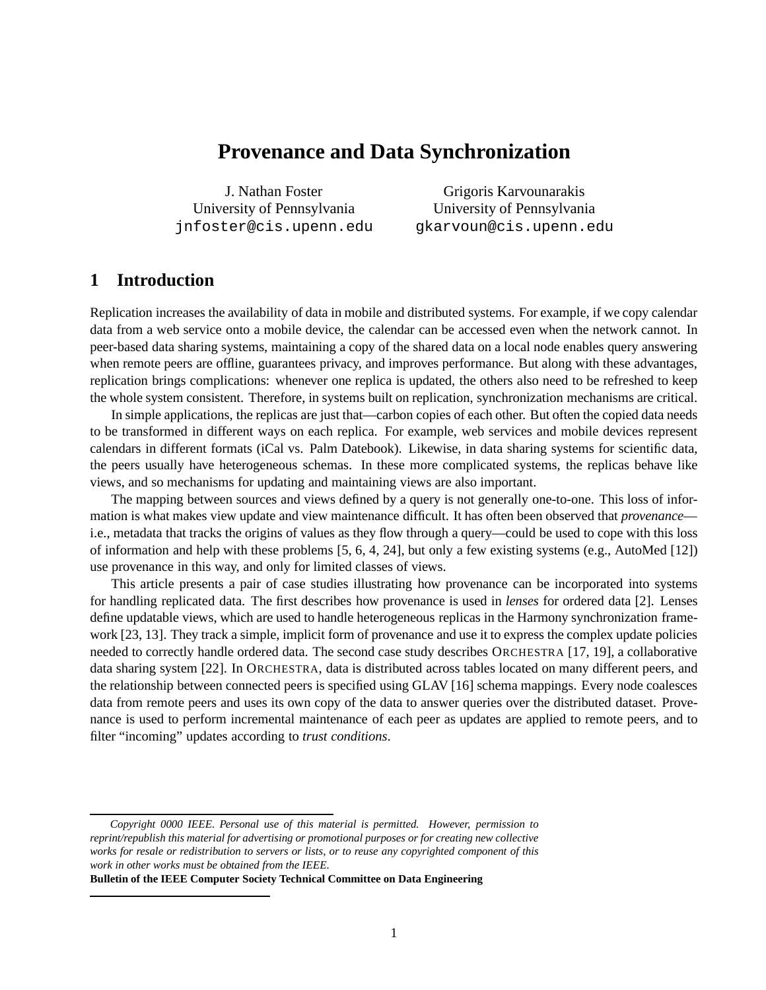# **Provenance and Data Synchronization**

J. Nathan Foster University of Pennsylvania jnfoster@cis.upenn.edu

Grigoris Karvounarakis University of Pennsylvania gkarvoun@cis.upenn.edu

## **1 Introduction**

Replication increases the availability of data in mobile and distributed systems. For example, if we copy calendar data from a web service onto a mobile device, the calendar can be accessed even when the network cannot. In peer-based data sharing systems, maintaining a copy of the shared data on a local node enables query answering when remote peers are offline, guarantees privacy, and improves performance. But along with these advantages, replication brings complications: whenever one replica is updated, the others also need to be refreshed to keep the whole system consistent. Therefore, in systems built on replication, synchronization mechanisms are critical.

In simple applications, the replicas are just that—carbon copies of each other. But often the copied data needs to be transformed in different ways on each replica. For example, web services and mobile devices represent calendars in different formats (iCal vs. Palm Datebook). Likewise, in data sharing systems for scientific data, the peers usually have heterogeneous schemas. In these more complicated systems, the replicas behave like views, and so mechanisms for updating and maintaining views are also important.

The mapping between sources and views defined by a query is not generally one-to-one. This loss of information is what makes view update and view maintenance difficult. It has often been observed that *provenance* i.e., metadata that tracks the origins of values as they flow through a query—could be used to cope with this loss of information and help with these problems [5, 6, 4, 24], but only a few existing systems (e.g., AutoMed [12]) use provenance in this way, and only for limited classes of views.

This article presents a pair of case studies illustrating how provenance can be incorporated into systems for handling replicated data. The first describes how provenance is used in *lenses* for ordered data [2]. Lenses define updatable views, which are used to handle heterogeneous replicas in the Harmony synchronization framework [23, 13]. They track a simple, implicit form of provenance and use it to express the complex update policies needed to correctly handle ordered data. The second case study describes ORCHESTRA [17, 19], a collaborative data sharing system [22]. In ORCHESTRA, data is distributed across tables located on many different peers, and the relationship between connected peers is specified using GLAV [16] schema mappings. Every node coalesces data from remote peers and uses its own copy of the data to answer queries over the distributed dataset. Provenance is used to perform incremental maintenance of each peer as updates are applied to remote peers, and to filter "incoming" updates according to *trust conditions*.

**Bulletin of the IEEE Computer Society Technical Committee on Data Engineering**

*Copyright 0000 IEEE. Personal use of this material is permitted. However, permission to reprint/republish this material for advertising or promotional purposes or for creating new collective works for resale or redistribution to servers or lists, or to reuse any copyrighted component of this work in other works must be obtained from the IEEE.*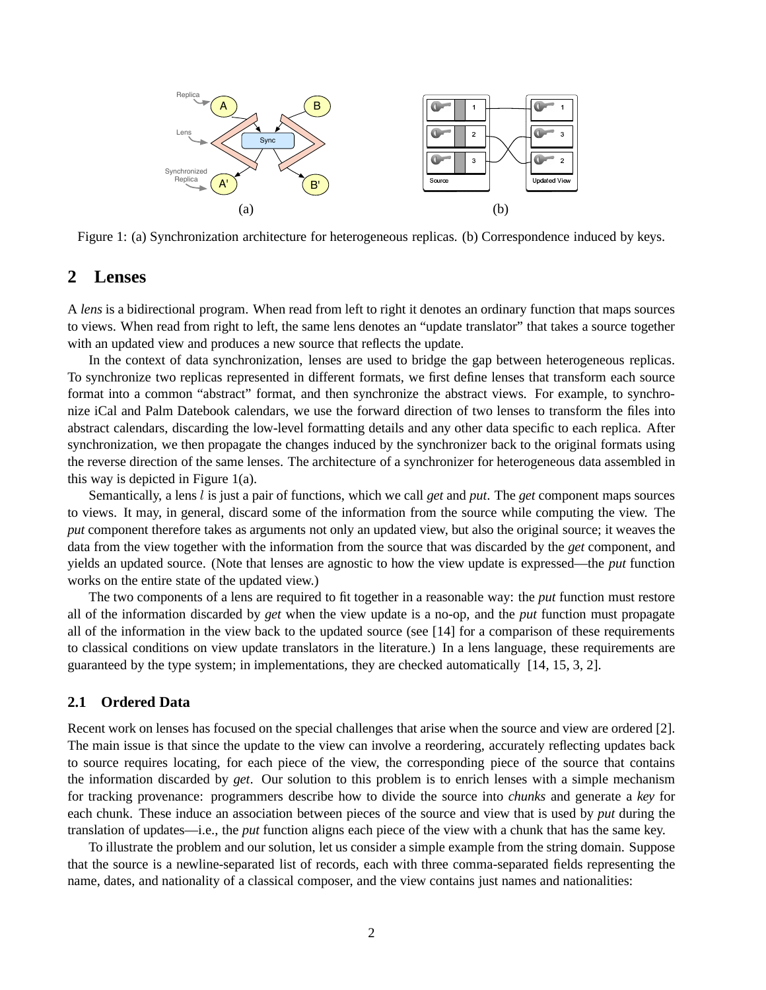

Figure 1: (a) Synchronization architecture for heterogeneous replicas. (b) Correspondence induced by keys.

## **2 Lenses**

A *lens* is a bidirectional program. When read from left to right it denotes an ordinary function that maps sources to views. When read from right to left, the same lens denotes an "update translator" that takes a source together with an updated view and produces a new source that reflects the update.

In the context of data synchronization, lenses are used to bridge the gap between heterogeneous replicas. To synchronize two replicas represented in different formats, we first define lenses that transform each source format into a common "abstract" format, and then synchronize the abstract views. For example, to synchronize iCal and Palm Datebook calendars, we use the forward direction of two lenses to transform the files into abstract calendars, discarding the low-level formatting details and any other data specific to each replica. After synchronization, we then propagate the changes induced by the synchronizer back to the original formats using the reverse direction of the same lenses. The architecture of a synchronizer for heterogeneous data assembled in this way is depicted in Figure  $1(a)$ .

Semantically, a lens l is just a pair of functions, which we call *get* and *put*. The *get* component maps sources to views. It may, in general, discard some of the information from the source while computing the view. The *put* component therefore takes as arguments not only an updated view, but also the original source; it weaves the data from the view together with the information from the source that was discarded by the *get* component, and yields an updated source. (Note that lenses are agnostic to how the view update is expressed—the *put* function works on the entire state of the updated view.)

The two components of a lens are required to fit together in a reasonable way: the *put* function must restore all of the information discarded by *get* when the view update is a no-op, and the *put* function must propagate all of the information in the view back to the updated source (see [14] for a comparison of these requirements to classical conditions on view update translators in the literature.) In a lens language, these requirements are guaranteed by the type system; in implementations, they are checked automatically [14, 15, 3, 2].

#### **2.1 Ordered Data**

Recent work on lenses has focused on the special challenges that arise when the source and view are ordered [2]. The main issue is that since the update to the view can involve a reordering, accurately reflecting updates back to source requires locating, for each piece of the view, the corresponding piece of the source that contains the information discarded by *get*. Our solution to this problem is to enrich lenses with a simple mechanism for tracking provenance: programmers describe how to divide the source into *chunks* and generate a *key* for each chunk. These induce an association between pieces of the source and view that is used by *put* during the translation of updates—i.e., the *put* function aligns each piece of the view with a chunk that has the same key.

To illustrate the problem and our solution, let us consider a simple example from the string domain. Suppose that the source is a newline-separated list of records, each with three comma-separated fields representing the name, dates, and nationality of a classical composer, and the view contains just names and nationalities: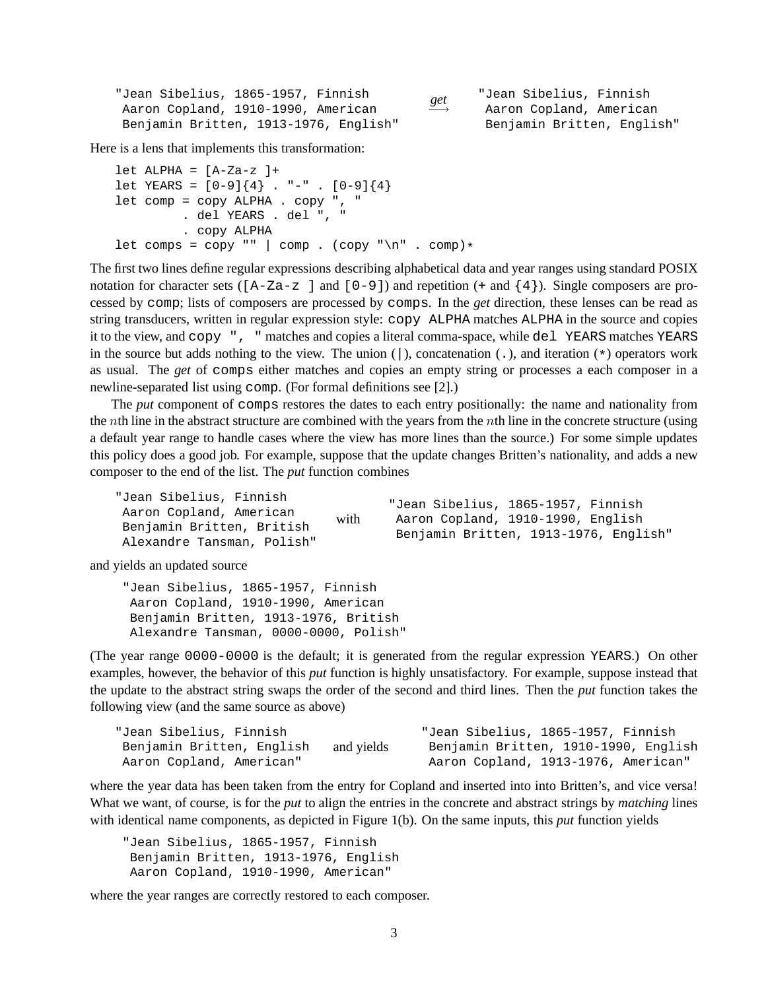| "Jean Sibelius, 1865-1957, Finnish    |                                  | "Jean Sibelius, Finnish    |
|---------------------------------------|----------------------------------|----------------------------|
| Aaron Copland, 1910-1990, American    | $\overset{get}{\longrightarrow}$ | Aaron Copland, American    |
| Benjamin Britten, 1913-1976, English" |                                  | Benjamin Britten, English" |

Here is a lens that implements this transformation:

```
let ALPHA = [A-Za-z]+
let YEARS = [0-9]{4}. "-". [0-9]{4}let comp = copy ALPHA . copy ", "
         . del YEARS . del ", "
         . copy ALPHA
let comps = copy "" | comp . (copy "\n" . comp)*
```
The first two lines define regular expressions describing alphabetical data and year ranges using standard POSIX notation for character sets ( $[A-Za-z]$  and  $[0-9]$ ) and repetition  $(+ \text{ and } {4})$ . Single composers are processed by comp; lists of composers are processed by comps. In the *get* direction, these lenses can be read as string transducers, written in regular expression style: copy ALPHA matches ALPHA in the source and copies it to the view, and copy ", " matches and copies a literal comma-space, while del YEARS matches YEARS in the source but adds nothing to the view. The union  $($ ), concatenation  $($ .), and iteration  $(*)$  operators work as usual. The *get* of comps either matches and copies an empty string or processes a each composer in a newline-separated list using comp. (For formal definitions see [2].)

The *put* component of comps restores the dates to each entry positionally: the name and nationality from the *n*th line in the abstract structure are combined with the years from the *n*th line in the concrete structure (using a default year range to handle cases where the view has more lines than the source.) For some simple updates this policy does a good job. For example, suppose that the update changes Britten's nationality, and adds a new composer to the end of the list. The *put* function combines

| "Jean Sibelius, Finnish    |      | "Jean Sibelius, 1865-1957, Finnish    |
|----------------------------|------|---------------------------------------|
| Aaron Copland, American    |      |                                       |
| Benjamin Britten, British  | with | Aaron Copland, 1910-1990, English     |
| Alexandre Tansman, Polish" |      | Benjamin Britten, 1913-1976, English" |

and yields an updated source

"Jean Sibelius, 1865-1957, Finnish Aaron Copland, 1910-1990, American Benjamin Britten, 1913-1976, British Alexandre Tansman, 0000-0000, Polish"

(The year range 0000-0000 is the default; it is generated from the regular expression YEARS.) On other examples, however, the behavior of this *put* function is highly unsatisfactory. For example, suppose instead that the update to the abstract string swaps the order of the second and third lines. Then the *put* function takes the following view (and the same source as above)

| "Jean Sibelius, Finnish   |            | "Jean Sibelius, 1865-1957, Finnish   |
|---------------------------|------------|--------------------------------------|
| Benjamin Britten, English | and yields | Benjamin Britten, 1910-1990, English |
| Aaron Copland, American"  |            | Aaron Copland, 1913-1976, American"  |

where the year data has been taken from the entry for Copland and inserted into into Britten's, and vice versa! What we want, of course, is for the *put* to align the entries in the concrete and abstract strings by *matching* lines with identical name components, as depicted in Figure 1(b). On the same inputs, this *put* function yields

"Jean Sibelius, 1865-1957, Finnish Benjamin Britten, 1913-1976, English Aaron Copland, 1910-1990, American"

where the year ranges are correctly restored to each composer.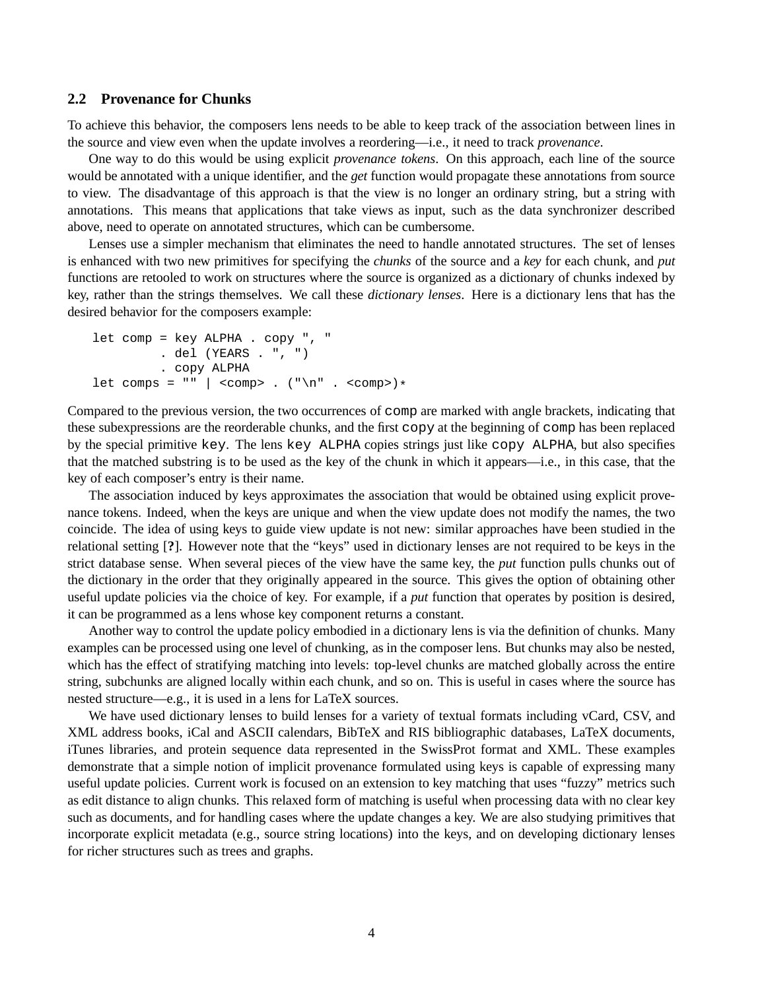#### **2.2 Provenance for Chunks**

To achieve this behavior, the composers lens needs to be able to keep track of the association between lines in the source and view even when the update involves a reordering—i.e., it need to track *provenance*.

One way to do this would be using explicit *provenance tokens*. On this approach, each line of the source would be annotated with a unique identifier, and the *get* function would propagate these annotations from source to view. The disadvantage of this approach is that the view is no longer an ordinary string, but a string with annotations. This means that applications that take views as input, such as the data synchronizer described above, need to operate on annotated structures, which can be cumbersome.

Lenses use a simpler mechanism that eliminates the need to handle annotated structures. The set of lenses is enhanced with two new primitives for specifying the *chunks* of the source and a *key* for each chunk, and *put* functions are retooled to work on structures where the source is organized as a dictionary of chunks indexed by key, rather than the strings themselves. We call these *dictionary lenses*. Here is a dictionary lens that has the desired behavior for the composers example:

```
let comp = key ALPHA . copy ", "
           . del (YEARS . ", ")
           . copy ALPHA
let comps = "" | <comp> . (\sqrt[n]{n} \cdot \sqrt{1}) . <comp>)*
```
Compared to the previous version, the two occurrences of comp are marked with angle brackets, indicating that these subexpressions are the reorderable chunks, and the first copy at the beginning of comp has been replaced by the special primitive key. The lens key ALPHA copies strings just like copy ALPHA, but also specifies that the matched substring is to be used as the key of the chunk in which it appears—i.e., in this case, that the key of each composer's entry is their name.

The association induced by keys approximates the association that would be obtained using explicit provenance tokens. Indeed, when the keys are unique and when the view update does not modify the names, the two coincide. The idea of using keys to guide view update is not new: similar approaches have been studied in the relational setting [**?**]. However note that the "keys" used in dictionary lenses are not required to be keys in the strict database sense. When several pieces of the view have the same key, the *put* function pulls chunks out of the dictionary in the order that they originally appeared in the source. This gives the option of obtaining other useful update policies via the choice of key. For example, if a *put* function that operates by position is desired, it can be programmed as a lens whose key component returns a constant.

Another way to control the update policy embodied in a dictionary lens is via the definition of chunks. Many examples can be processed using one level of chunking, as in the composer lens. But chunks may also be nested, which has the effect of stratifying matching into levels: top-level chunks are matched globally across the entire string, subchunks are aligned locally within each chunk, and so on. This is useful in cases where the source has nested structure—e.g., it is used in a lens for LaTeX sources.

We have used dictionary lenses to build lenses for a variety of textual formats including vCard, CSV, and XML address books, iCal and ASCII calendars, BibTeX and RIS bibliographic databases, LaTeX documents, iTunes libraries, and protein sequence data represented in the SwissProt format and XML. These examples demonstrate that a simple notion of implicit provenance formulated using keys is capable of expressing many useful update policies. Current work is focused on an extension to key matching that uses "fuzzy" metrics such as edit distance to align chunks. This relaxed form of matching is useful when processing data with no clear key such as documents, and for handling cases where the update changes a key. We are also studying primitives that incorporate explicit metadata (e.g., source string locations) into the keys, and on developing dictionary lenses for richer structures such as trees and graphs.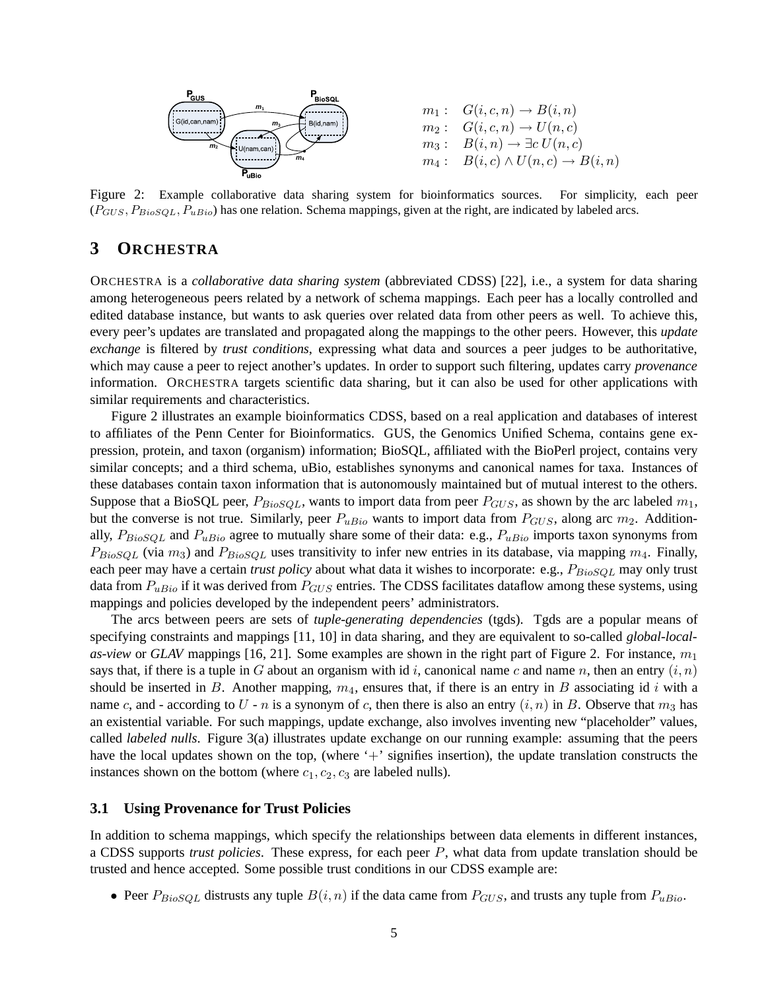

Figure 2: Example collaborative data sharing system for bioinformatics sources. For simplicity, each peer  $(P_{GUS}, P_{BioSQL}, P_{uBio})$  has one relation. Schema mappings, given at the right, are indicated by labeled arcs.

### **3 ORCHESTRA**

ORCHESTRA is a *collaborative data sharing system* (abbreviated CDSS) [22], i.e., a system for data sharing among heterogeneous peers related by a network of schema mappings. Each peer has a locally controlled and edited database instance, but wants to ask queries over related data from other peers as well. To achieve this, every peer's updates are translated and propagated along the mappings to the other peers. However, this *update exchange* is filtered by *trust conditions*, expressing what data and sources a peer judges to be authoritative, which may cause a peer to reject another's updates. In order to support such filtering, updates carry *provenance* information. ORCHESTRA targets scientific data sharing, but it can also be used for other applications with similar requirements and characteristics.

Figure 2 illustrates an example bioinformatics CDSS, based on a real application and databases of interest to affiliates of the Penn Center for Bioinformatics. GUS, the Genomics Unified Schema, contains gene expression, protein, and taxon (organism) information; BioSQL, affiliated with the BioPerl project, contains very similar concepts; and a third schema, uBio, establishes synonyms and canonical names for taxa. Instances of these databases contain taxon information that is autonomously maintained but of mutual interest to the others. Suppose that a BioSQL peer,  $P_{BioSQL}$ , wants to import data from peer  $P_{GUS}$ , as shown by the arc labeled  $m_1$ , but the converse is not true. Similarly, peer  $P_{uBio}$  wants to import data from  $P_{GUS}$ , along arc  $m_2$ . Additionally,  $P_{BioSQL}$  and  $P_{uBio}$  agree to mutually share some of their data: e.g.,  $P_{uBio}$  imports taxon synonyms from  $P_{BioSQL}$  (via  $m_3$ ) and  $P_{BioSQL}$  uses transitivity to infer new entries in its database, via mapping  $m_4$ . Finally, each peer may have a certain *trust policy* about what data it wishes to incorporate: e.g.,  $P_{BioSQL}$  may only trust data from  $P_{uBio}$  if it was derived from  $P_{GUS}$  entries. The CDSS facilitates dataflow among these systems, using mappings and policies developed by the independent peers' administrators.

The arcs between peers are sets of *tuple-generating dependencies* (tgds). Tgds are a popular means of specifying constraints and mappings [11, 10] in data sharing, and they are equivalent to so-called *global-localas-view* or *GLAV* mappings [16, 21]. Some examples are shown in the right part of Figure 2. For instance,  $m_1$ says that, if there is a tuple in G about an organism with id i, canonical name c and name n, then an entry  $(i, n)$ should be inserted in B. Another mapping,  $m_4$ , ensures that, if there is an entry in B associating id i with a name c, and - according to U - n is a synonym of c, then there is also an entry  $(i, n)$  in B. Observe that  $m_3$  has an existential variable. For such mappings, update exchange, also involves inventing new "placeholder" values, called *labeled nulls*. Figure 3(a) illustrates update exchange on our running example: assuming that the peers have the local updates shown on the top, (where '+' signifies insertion), the update translation constructs the instances shown on the bottom (where  $c_1, c_2, c_3$  are labeled nulls).

#### **3.1 Using Provenance for Trust Policies**

In addition to schema mappings, which specify the relationships between data elements in different instances, a CDSS supports *trust policies*. These express, for each peer P, what data from update translation should be trusted and hence accepted. Some possible trust conditions in our CDSS example are:

• Peer  $P_{BioSOL}$  distrusts any tuple  $B(i, n)$  if the data came from  $P_{GUS}$ , and trusts any tuple from  $P_{uBio}$ .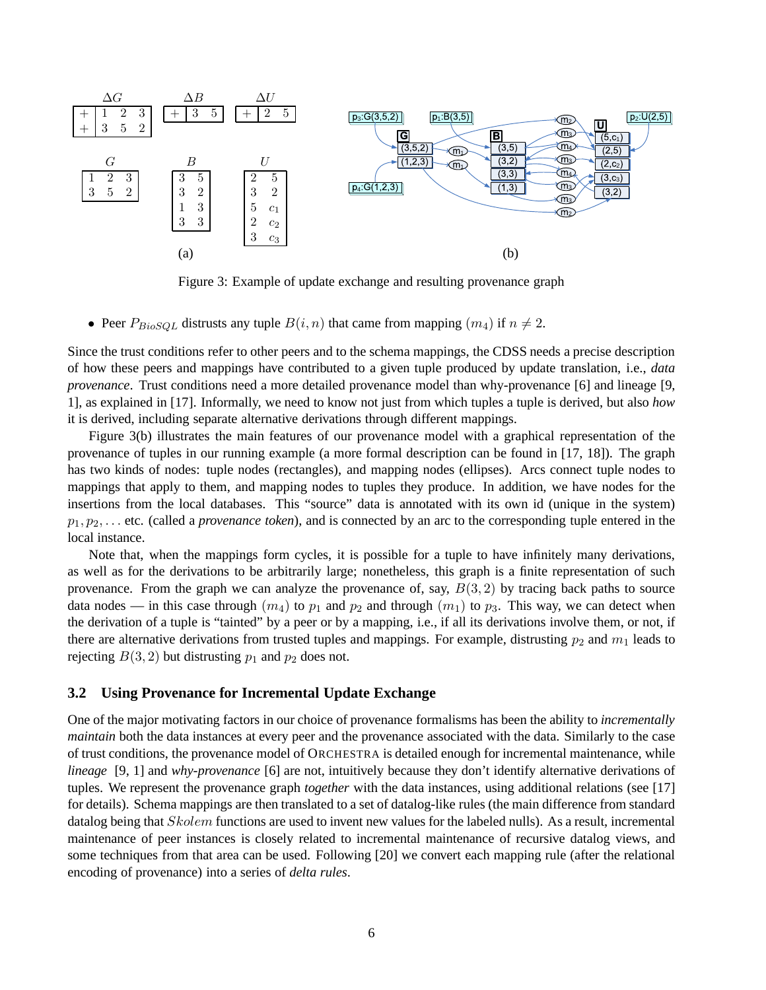

Figure 3: Example of update exchange and resulting provenance graph

• Peer  $P_{BioSQL}$  distrusts any tuple  $B(i, n)$  that came from mapping  $(m_4)$  if  $n \neq 2$ .

Since the trust conditions refer to other peers and to the schema mappings, the CDSS needs a precise description of how these peers and mappings have contributed to a given tuple produced by update translation, i.e., *data provenance*. Trust conditions need a more detailed provenance model than why-provenance [6] and lineage [9, 1], as explained in [17]. Informally, we need to know not just from which tuples a tuple is derived, but also *how* it is derived, including separate alternative derivations through different mappings.

Figure 3(b) illustrates the main features of our provenance model with a graphical representation of the provenance of tuples in our running example (a more formal description can be found in [17, 18]). The graph has two kinds of nodes: tuple nodes (rectangles), and mapping nodes (ellipses). Arcs connect tuple nodes to mappings that apply to them, and mapping nodes to tuples they produce. In addition, we have nodes for the insertions from the local databases. This "source" data is annotated with its own id (unique in the system)  $p_1, p_2, \ldots$  etc. (called a *provenance token*), and is connected by an arc to the corresponding tuple entered in the local instance.

Note that, when the mappings form cycles, it is possible for a tuple to have infinitely many derivations, as well as for the derivations to be arbitrarily large; nonetheless, this graph is a finite representation of such provenance. From the graph we can analyze the provenance of, say,  $B(3, 2)$  by tracing back paths to source data nodes — in this case through  $(m_4)$  to  $p_1$  and  $p_2$  and through  $(m_1)$  to  $p_3$ . This way, we can detect when the derivation of a tuple is "tainted" by a peer or by a mapping, i.e., if all its derivations involve them, or not, if there are alternative derivations from trusted tuples and mappings. For example, distrusting  $p_2$  and  $m_1$  leads to rejecting  $B(3, 2)$  but distrusting  $p_1$  and  $p_2$  does not.

#### **3.2 Using Provenance for Incremental Update Exchange**

One of the major motivating factors in our choice of provenance formalisms has been the ability to *incrementally maintain* both the data instances at every peer and the provenance associated with the data. Similarly to the case of trust conditions, the provenance model of ORCHESTRA is detailed enough for incremental maintenance, while *lineage* [9, 1] and *why-provenance* [6] are not, intuitively because they don't identify alternative derivations of tuples. We represent the provenance graph *together* with the data instances, using additional relations (see [17] for details). Schema mappings are then translated to a set of datalog-like rules (the main difference from standard datalog being that *Skolem* functions are used to invent new values for the labeled nulls). As a result, incremental maintenance of peer instances is closely related to incremental maintenance of recursive datalog views, and some techniques from that area can be used. Following [20] we convert each mapping rule (after the relational encoding of provenance) into a series of *delta rules*.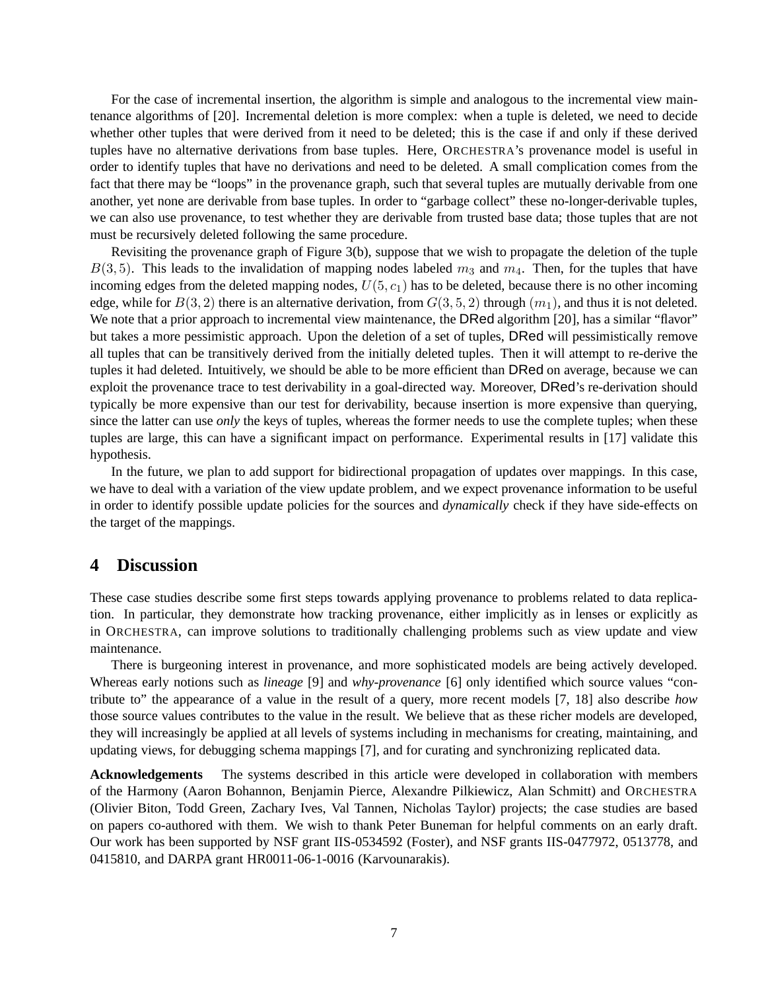For the case of incremental insertion, the algorithm is simple and analogous to the incremental view maintenance algorithms of [20]. Incremental deletion is more complex: when a tuple is deleted, we need to decide whether other tuples that were derived from it need to be deleted; this is the case if and only if these derived tuples have no alternative derivations from base tuples. Here, ORCHESTRA's provenance model is useful in order to identify tuples that have no derivations and need to be deleted. A small complication comes from the fact that there may be "loops" in the provenance graph, such that several tuples are mutually derivable from one another, yet none are derivable from base tuples. In order to "garbage collect" these no-longer-derivable tuples, we can also use provenance, to test whether they are derivable from trusted base data; those tuples that are not must be recursively deleted following the same procedure.

Revisiting the provenance graph of Figure 3(b), suppose that we wish to propagate the deletion of the tuple  $B(3, 5)$ . This leads to the invalidation of mapping nodes labeled  $m_3$  and  $m_4$ . Then, for the tuples that have incoming edges from the deleted mapping nodes,  $U(5, c_1)$  has to be deleted, because there is no other incoming edge, while for  $B(3, 2)$  there is an alternative derivation, from  $G(3, 5, 2)$  through  $(m_1)$ , and thus it is not deleted. We note that a prior approach to incremental view maintenance, the DRed algorithm [20], has a similar "flavor" but takes a more pessimistic approach. Upon the deletion of a set of tuples, DRed will pessimistically remove all tuples that can be transitively derived from the initially deleted tuples. Then it will attempt to re-derive the tuples it had deleted. Intuitively, we should be able to be more efficient than DRed on average, because we can exploit the provenance trace to test derivability in a goal-directed way. Moreover, DRed's re-derivation should typically be more expensive than our test for derivability, because insertion is more expensive than querying, since the latter can use *only* the keys of tuples, whereas the former needs to use the complete tuples; when these tuples are large, this can have a significant impact on performance. Experimental results in [17] validate this hypothesis.

In the future, we plan to add support for bidirectional propagation of updates over mappings. In this case, we have to deal with a variation of the view update problem, and we expect provenance information to be useful in order to identify possible update policies for the sources and *dynamically* check if they have side-effects on the target of the mappings.

#### **4 Discussion**

These case studies describe some first steps towards applying provenance to problems related to data replication. In particular, they demonstrate how tracking provenance, either implicitly as in lenses or explicitly as in ORCHESTRA, can improve solutions to traditionally challenging problems such as view update and view maintenance.

There is burgeoning interest in provenance, and more sophisticated models are being actively developed. Whereas early notions such as *lineage* [9] and *why-provenance* [6] only identified which source values "contribute to" the appearance of a value in the result of a query, more recent models [7, 18] also describe *how* those source values contributes to the value in the result. We believe that as these richer models are developed, they will increasingly be applied at all levels of systems including in mechanisms for creating, maintaining, and updating views, for debugging schema mappings [7], and for curating and synchronizing replicated data.

**Acknowledgements** The systems described in this article were developed in collaboration with members of the Harmony (Aaron Bohannon, Benjamin Pierce, Alexandre Pilkiewicz, Alan Schmitt) and ORCHESTRA (Olivier Biton, Todd Green, Zachary Ives, Val Tannen, Nicholas Taylor) projects; the case studies are based on papers co-authored with them. We wish to thank Peter Buneman for helpful comments on an early draft. Our work has been supported by NSF grant IIS-0534592 (Foster), and NSF grants IIS-0477972, 0513778, and 0415810, and DARPA grant HR0011-06-1-0016 (Karvounarakis).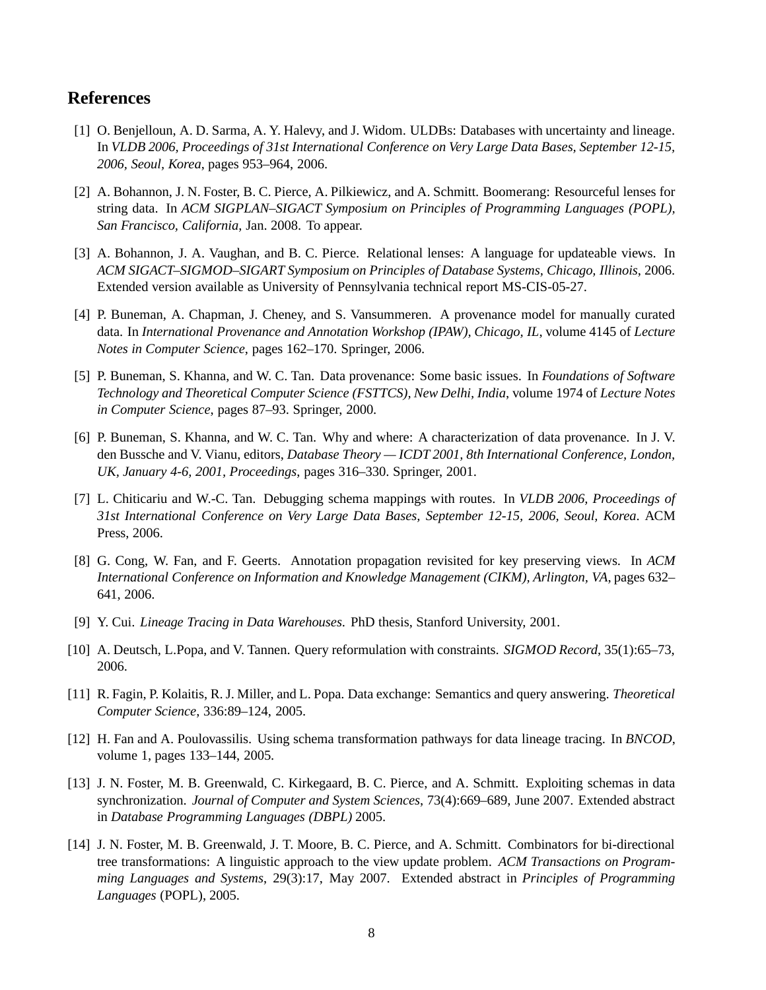## **References**

- [1] O. Benjelloun, A. D. Sarma, A. Y. Halevy, and J. Widom. ULDBs: Databases with uncertainty and lineage. In *VLDB 2006, Proceedings of 31st International Conference on Very Large Data Bases, September 12-15, 2006, Seoul, Korea*, pages 953–964, 2006.
- [2] A. Bohannon, J. N. Foster, B. C. Pierce, A. Pilkiewicz, and A. Schmitt. Boomerang: Resourceful lenses for string data. In *ACM SIGPLAN–SIGACT Symposium on Principles of Programming Languages (POPL), San Francisco, California*, Jan. 2008. To appear.
- [3] A. Bohannon, J. A. Vaughan, and B. C. Pierce. Relational lenses: A language for updateable views. In *ACM SIGACT–SIGMOD–SIGART Symposium on Principles of Database Systems, Chicago, Illinois*, 2006. Extended version available as University of Pennsylvania technical report MS-CIS-05-27.
- [4] P. Buneman, A. Chapman, J. Cheney, and S. Vansummeren. A provenance model for manually curated data. In *International Provenance and Annotation Workshop (IPAW), Chicago, IL*, volume 4145 of *Lecture Notes in Computer Science*, pages 162–170. Springer, 2006.
- [5] P. Buneman, S. Khanna, and W. C. Tan. Data provenance: Some basic issues. In *Foundations of Software Technology and Theoretical Computer Science (FSTTCS), New Delhi, India*, volume 1974 of *Lecture Notes in Computer Science*, pages 87–93. Springer, 2000.
- [6] P. Buneman, S. Khanna, and W. C. Tan. Why and where: A characterization of data provenance. In J. V. den Bussche and V. Vianu, editors, *Database Theory — ICDT 2001, 8th International Conference, London, UK, January 4-6, 2001, Proceedings*, pages 316–330. Springer, 2001.
- [7] L. Chiticariu and W.-C. Tan. Debugging schema mappings with routes. In *VLDB 2006, Proceedings of 31st International Conference on Very Large Data Bases, September 12-15, 2006, Seoul, Korea*. ACM Press, 2006.
- [8] G. Cong, W. Fan, and F. Geerts. Annotation propagation revisited for key preserving views. In *ACM International Conference on Information and Knowledge Management (CIKM), Arlington, VA*, pages 632– 641, 2006.
- [9] Y. Cui. *Lineage Tracing in Data Warehouses*. PhD thesis, Stanford University, 2001.
- [10] A. Deutsch, L.Popa, and V. Tannen. Query reformulation with constraints. *SIGMOD Record*, 35(1):65–73, 2006.
- [11] R. Fagin, P. Kolaitis, R. J. Miller, and L. Popa. Data exchange: Semantics and query answering. *Theoretical Computer Science*, 336:89–124, 2005.
- [12] H. Fan and A. Poulovassilis. Using schema transformation pathways for data lineage tracing. In *BNCOD*, volume 1, pages 133–144, 2005.
- [13] J. N. Foster, M. B. Greenwald, C. Kirkegaard, B. C. Pierce, and A. Schmitt. Exploiting schemas in data synchronization. *Journal of Computer and System Sciences*, 73(4):669–689, June 2007. Extended abstract in *Database Programming Languages (DBPL)* 2005.
- [14] J. N. Foster, M. B. Greenwald, J. T. Moore, B. C. Pierce, and A. Schmitt. Combinators for bi-directional tree transformations: A linguistic approach to the view update problem. *ACM Transactions on Programming Languages and Systems*, 29(3):17, May 2007. Extended abstract in *Principles of Programming Languages* (POPL), 2005.